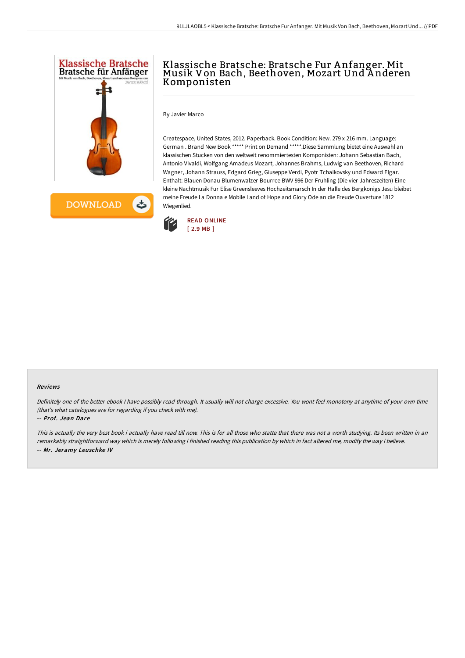

# Klassische Bratsche: Bratsche Fur A nfanger. Mit Musik Von Bach, Beethoven, Mozart Und A nderen Komponisten

By Javier Marco

Createspace, United States, 2012. Paperback. Book Condition: New. 279 x 216 mm. Language: German . Brand New Book \*\*\*\*\* Print on Demand \*\*\*\*\*.Diese Sammlung bietet eine Auswahl an klassischen Stucken von den weltweit renommiertesten Komponisten: Johann Sebastian Bach, Antonio Vivaldi, Wolfgang Amadeus Mozart, Johannes Brahms, Ludwig van Beethoven, Richard Wagner, Johann Strauss, Edgard Grieg, Giuseppe Verdi, Pyotr Tchaikovsky und Edward Elgar. Enthalt: Blauen Donau Blumenwalzer Bourree BWV 996 Der Fruhling (Die vier Jahreszeiten) Eine kleine Nachtmusik Fur Elise Greensleeves Hochzeitsmarsch In der Halle des Bergkonigs Jesu bleibet meine Freude La Donna e Mobile Land of Hope and Glory Ode an die Freude Ouverture 1812 Wiegenlied.



#### Reviews

Definitely one of the better ebook <sup>I</sup> have possibly read through. It usually will not charge excessive. You wont feel monotony at anytime of your own time (that's what catalogues are for regarding if you check with me).

-- Prof. Jean Dare

This is actually the very best book i actually have read till now. This is for all those who statte that there was not a worth studying. Its been written in an remarkably straightforward way which is merely following i finished reading this publication by which in fact altered me, modify the way i believe. -- Mr. Jeramy Leuschke IV